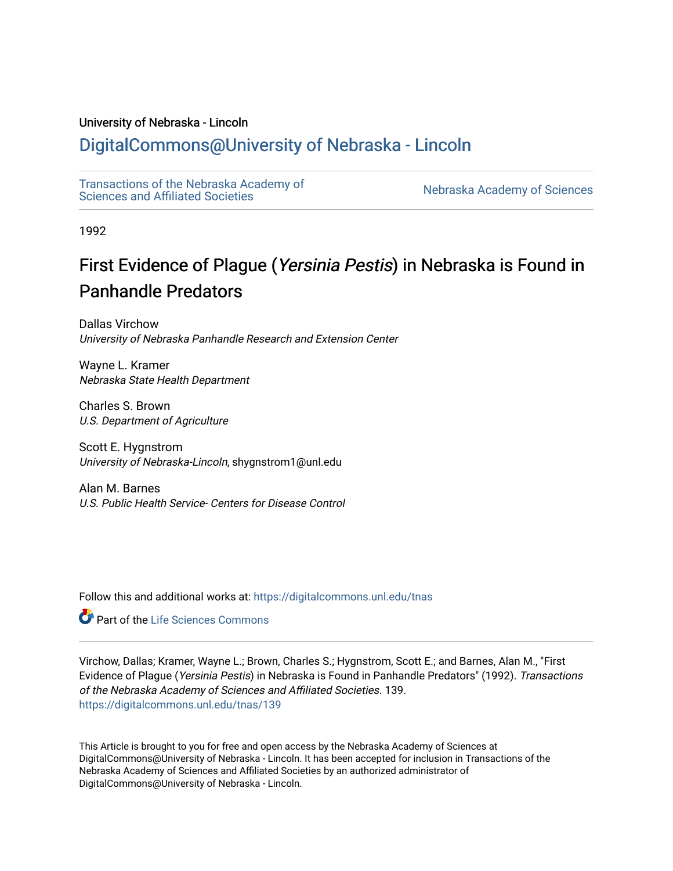# University of Nebraska - Lincoln

# [DigitalCommons@University of Nebraska - Lincoln](https://digitalcommons.unl.edu/)

[Transactions of the Nebraska Academy of](https://digitalcommons.unl.edu/tnas)  Transactions of the Nebraska Academy of Sciences<br>Sciences and Affiliated Societies

1992

# First Evidence of Plague (Yersinia Pestis) in Nebraska is Found in Panhandle Predators

Dallas Virchow University of Nebraska Panhandle Research and Extension Center

Wayne L. Kramer Nebraska State Health Department

Charles S. Brown U.S. Department of Agriculture

Scott E. Hygnstrom University of Nebraska-Lincoln, shygnstrom1@unl.edu

Alan M. Barnes U.S. Public Health Service- Centers for Disease Control

Follow this and additional works at: [https://digitalcommons.unl.edu/tnas](https://digitalcommons.unl.edu/tnas?utm_source=digitalcommons.unl.edu%2Ftnas%2F139&utm_medium=PDF&utm_campaign=PDFCoverPages) 

**Part of the Life Sciences Commons** 

Virchow, Dallas; Kramer, Wayne L.; Brown, Charles S.; Hygnstrom, Scott E.; and Barnes, Alan M., "First Evidence of Plague (Yersinia Pestis) in Nebraska is Found in Panhandle Predators" (1992). Transactions of the Nebraska Academy of Sciences and Affiliated Societies. 139. [https://digitalcommons.unl.edu/tnas/139](https://digitalcommons.unl.edu/tnas/139?utm_source=digitalcommons.unl.edu%2Ftnas%2F139&utm_medium=PDF&utm_campaign=PDFCoverPages) 

This Article is brought to you for free and open access by the Nebraska Academy of Sciences at DigitalCommons@University of Nebraska - Lincoln. It has been accepted for inclusion in Transactions of the Nebraska Academy of Sciences and Affiliated Societies by an authorized administrator of DigitalCommons@University of Nebraska - Lincoln.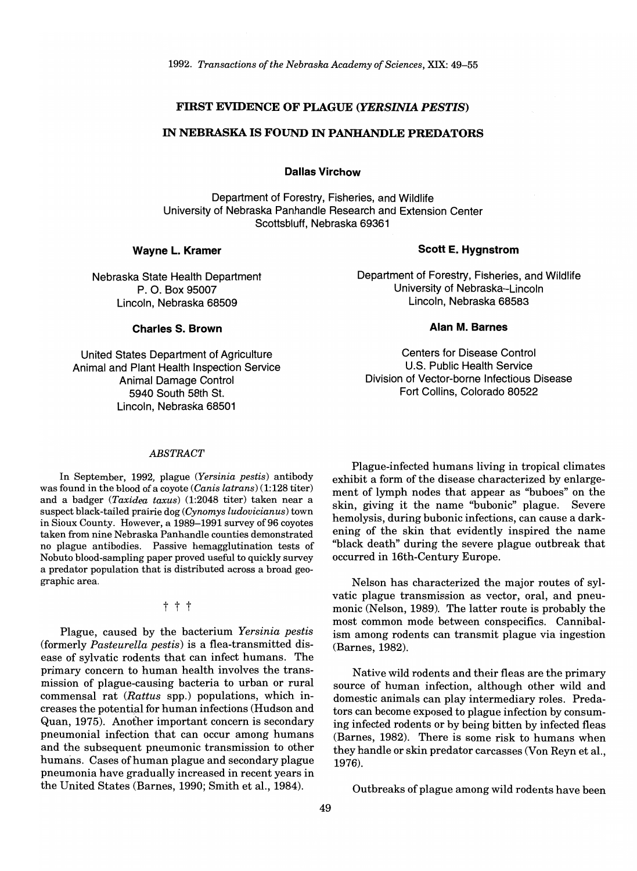### **FIRST EVIDENCE OF PLAGUE** *(YERSINIA PESTIS)*

# **IN NEBRASKA IS FOUND IN PANHANDLE PREDATORS**

**Dallas Virchow** 

Department of Forestry, Fisheries, and Wildlife University of Nebraska Panhandle Research and Extension Center Scottsbluff, Nebraska 69361

### **Wayne L. Kramer**

Nebraska State Health Department P. O. Box 95007 Lincoln, Nebraska 68509

## Department of Forestry, Fisheries, and Wildlife University of Nebraska-Lincoln Lincoln, Nebraska 68583

#### **Alan M. Barnes**

Centers for Disease Control U.S. Public Health Service Division of Vector-borne Infectious Disease Fort Collins, Colorado 80522

### **Charles S. Brown**

United States Department of Agriculture Animal and Plant Health Inspection Service Animal Damage Control 5940 South 58th St. Lincoln, Nebraska 68501

#### *ABSTRACT*

In September, 1992, plague *(Yersinia pestis)* antibody was found in the blood of a coyote *(Canis latrans)* (1:128 titer) and a badger *(Taxidea taxus)* (1:2048 titer) taken near a suspect black-tailed prairie dog *(Cynomys ludovicianus)* town in Sioux County. However, a 1989-1991 survey of 96 coyotes taken from nine Nebraska Panhandle counties demonstrated no plague antibodies. Passive hemagglutination tests of Nobuto blood-sampling paper proved useful to quickly survey a predator population that is distributed across a broad geographic area.

# t t t

Plague, caused by the bacterium *Yersinia pestis*  (formerly *Pasteurella pestis)* is a flea-transmitted disease of sylvatic rodents that can infect humans. The primary concern to human health involves the transmission of plague-causing bacteria to urban or rural commensal rat *(Rattus* spp.) populations, which increases the potential for human infections (Hudson and Quan, 1975). Another important concern is secondary pneumonial infection that can occur among humans and the subsequent pneumonic transmission to other humans. Cases of human plague and secondary plague pneumonia have gradually increased in recent years in the United States (Barnes, 1990; Smith et aI., 1984).

Plague-infected humans living in tropical climates exhibit a form of the disease characterized by enlargement of lymph nodes that appear as "buboes" on the skin, giving it the name "bubonic" plague. Severe hemolysis, during bubonic infections, can cause a darkening of the skin that evidently inspired the name "black death" during the severe plague outbreak that occurred in 16th-Century Europe.

Nelson has characterized the major routes of sylvatic plague transmission as vector, oral, and pneumonic (Nelson, 1989). The latter route is probably the most common mode between conspecifics. Cannibalism among rodents can transmit plague via ingestion (Barnes, 1982).

Native wild rodents and their fleas are the primary source of human infection, although other wild and domestic animals can play intermediary roles. Predators can become exposed to plague infection by consuming infected rodents or by being bitten by infected fleas (Barnes, 1982). There is some risk to humans when they handle or skin predator carcasses (Von Reyn et aI., 1976).

Outbreaks of plague among wild rodents have been

# **Scott E. Hygnstrom**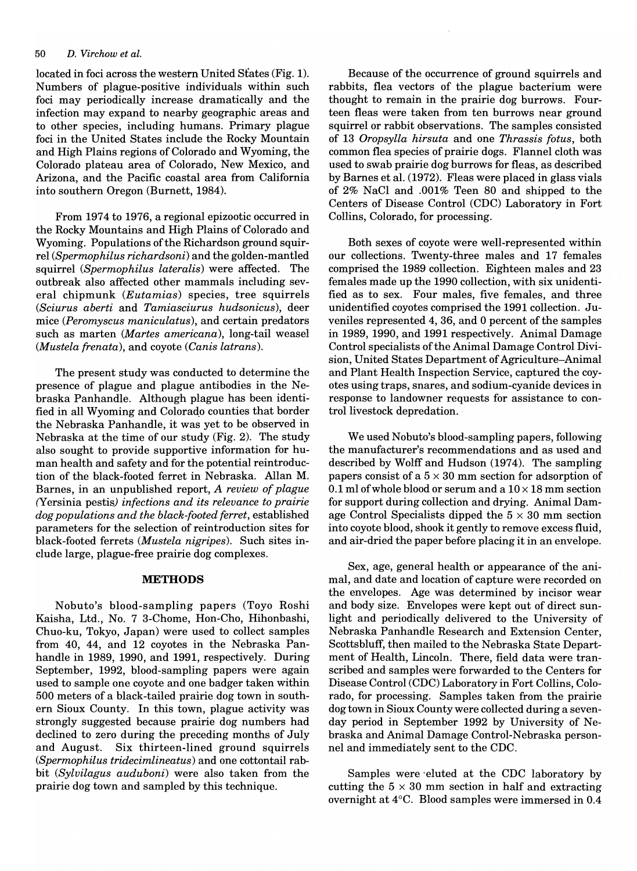#### *50 D. Virchow et al.*

located in foci across the western United States (Fig. 1). Numbers of plague-positive individuals within such foci may periodically increase dramatically and the infection may expand to nearby geographic areas and to other species, including humans. Primary plague foci in the United States include the Rocky Mountain and High Plains regions of Colorado and Wyoming, the Colorado plateau area of Colorado, New Mexico, and Arizona, and the Pacific coastal area from California into southern Oregon (Burnett, 1984).

From 1974 to 1976, a regional epizootic occurred in the Rocky Mountains and High Plains of Colorado and Wyoming. Populations of the Richardson ground squirrel *(Spermophilus richardsoni)* and the golden-mantled squirrel *(Spermophilus lateralis)* were affected. The outbreak also affected other mammals including several chipmunk *(Eutamias)* species, tree squirrels *(Sciurus aberti* and *Tamiasciurus hudsonicus),* deer mice *(Peromyscus maniculatus),* and certain predators such as marten *(Martes americana),* long-tail weasel *(Mustela frenata),* and coyote *(Canis latrans).* 

The present study was conducted to determine the presence of plague and plague antibodies in the Nebraska Panhandle. Although plague has been identified in all Wyoming and Colorado counties that border the Nebraska Panhandle, it was yet to be observed in Nebraska at the time of our study (Fig. 2). The study also sought to provide supportive information for human health and safety and for the potential reintroduction of the black-footed ferret in Nebraska. Allan M. Barnes, in an unpublished report, *A review of plague*  (Yersinia pestis) *infections and its relevance to prairie dog populations and the black-footed ferret,* established parameters for the selection of reintroduction sites for black-footed ferrets *(Mustela nigripes).* Such sites include large, plague-free prairie dog complexes.

### **METHODS**

Nobuto's blood-sampling papers (Toyo Roshi Kaisha, Ltd., No.7 3-Chome, Hon-Cho, Hihonbashi, Chuo-ku, Tokyo, Japan) were used to collect samples from 40, 44, and 12 coyotes in the Nebraska Panhandle in 1989, 1990, and 1991, respectively. During September, 1992, blood-sampling papers were again used to sample one coyote and one badger taken within 500 meters of a black-tailed prairie dog town in southern Sioux County. In this town, plague activity was strongly suggested because prairie dog numbers had declined to zero during the preceding months of July and August. Six thirteen-lined ground squirrels *(Spermophilus tridecimlineatus)* and one cottontail rabbit *(Sylvilagus auduboni)* were also taken from the prairie dog town and sampled by this technique.

Because of the occurrence of ground squirrels and rabbits, flea vectors of the plague bacterium were thought to remain in the prairie dog burrows. Fourteen fleas were taken from ten burrows near ground squirrel or rabbit observations. The samples consisted of 13 *OropsyUa hirsuta* and one *Thrassis fotus,* both common flea species of prairie dogs. Flannel cloth was used to swab prairie dog burrows for fleas, as described by Barnes et al. (1972). Fleas were placed in glass vials of 2% NaCI and .001% Teen 80 and shipped to the Centers of Disease Control (CDC) Laboratory in Fort Collins, Colorado, for processing.

Both sexes of coyote were well-represented within our collections. Twenty-three males and 17 females comprised the 1989 collection. Eighteen males and 23 females made up the 1990 collection, with six unidentified as to sex. Four males, five females, and three unidentified coyotes comprised the 1991 collection. Juveniles represented 4, 36, and 0 percent of the samples in 1989, 1990, and 1991 respectively. Animal Damage Control specialists of the Animal Damage Control Division, United States Department of Agriculture-Animal and Plant Health Inspection Service, captured the coyotes using traps, snares, and sodium-cyanide devices in response to landowner requests for assistance to control livestock depredation.

We used Nobuto's blood-sampling papers, following the manufacturer's recommendations and as used and described by Wolff and Hudson (1974). The sampling papers consist of a  $5 \times 30$  mm section for adsorption of 0.1 ml of whole blood or serum and a  $10 \times 18$  mm section for support during collection and drying. Animal Damage Control Specialists dipped the  $5 \times 30$  mm section into coyote blood, shook it gently to remove excess fluid, and air-dried the paper before placing it in an envelope.

Sex, age, general health or appearance of the animal, and date and location of capture were recorded on the envelopes. Age was determined by incisor wear and body size. Envelopes were kept out of direct sunlight and periodically delivered to the University of Nebraska Panhandle Research and Extension Center, Scottsbluff, then mailed to the Nebraska State Department of Health, Lincoln. There, field data were transcribed and samples were forwarded to the Centers for Disease Control (CDC) Laboratory in Fort Collins, Colorado, for processing. Samples taken from the prairie dog town in Sioux County were collected during a sevenday period in September 1992 by University of Nebraska and Animal Damage Control-Nebraska personnel and immediately sent to the CDC.

Samples were 'eluted at the CDC laboratory by cutting the  $5 \times 30$  mm section in half and extracting overnight at 4°C. Blood samples were immersed in 0.4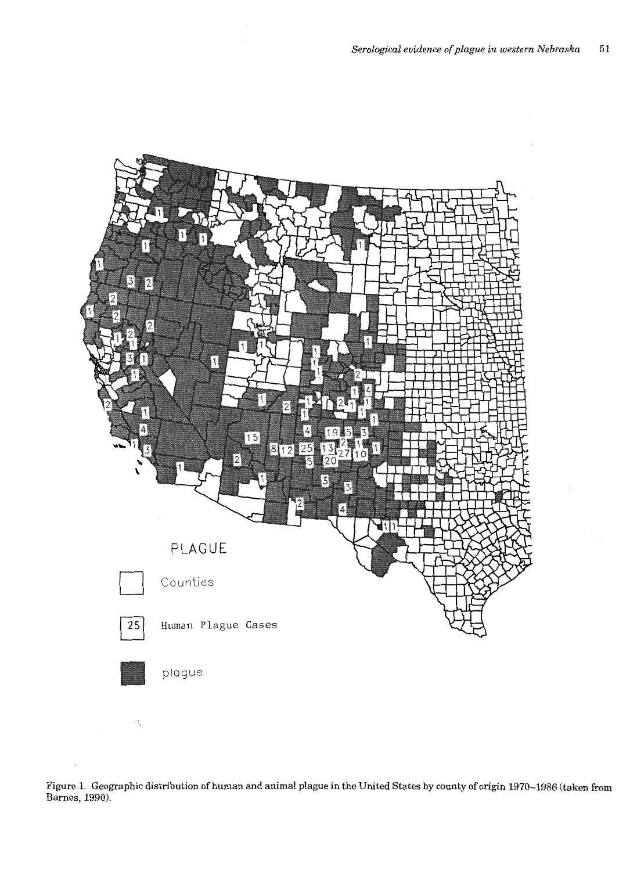

Figure 1. Geographic distribution of human and animal plague in the United States by county of origin 1970–1986 (taken from<br>Barnes, 1990).

 $\mathbb{R}^2$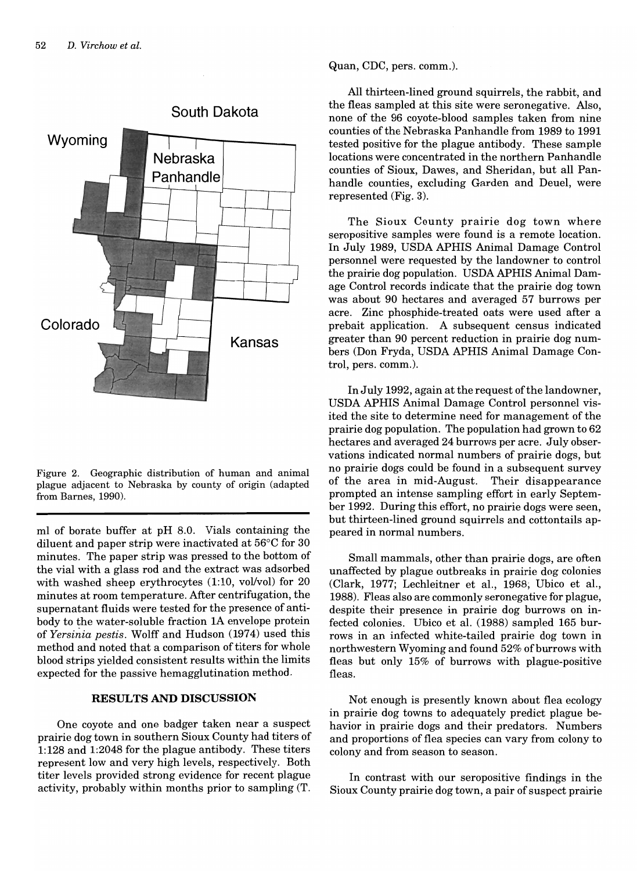

Figure 2. Geographic distribution of human and animal plague adjacent to Nebraska by county of origin (adapted from Barnes, 1990).

ml of borate buffer at pH 8.0. Vials containing the diluent and paper strip were inactivated at 56°C for 30 minutes. The paper strip was pressed to the bottom of the vial with a glass rod and the extract was adsorbed with washed sheep erythrocytes (1:10, vol/vol) for 20 minutes at room temperature. After centrifugation, the supernatant fluids were tested for the presence of antibody to the water-soluble fraction 1A envelope protein of *Yersiliia pestis.* Wolff and Hudson (1974) used this method and noted that a comparison of titers for whole blood strips yielded consistent results within the limits expected for the passive hemagglutination method.

# **RESULTS AND DISCUSSION**

One coyote and one badger taken near a suspect prairie dog town in southern Sioux County had titers of 1:128 and 1:2048 for the plague antibody. These titers represent low and very high levels, respectively. Both titer levels provided strong evidence for recent plague activity, probably within months prior to sampling (T.

Quan, CDC, pers. comm.).

All thirteen-lined ground squirrels, the rabbit, and the fleas sampled at this site were seronegative. Also, none of the 96 coyote-blood samples taken from nine counties of the Nebraska Panhandle from 1989 to 1991 tested positive for the plague antibody. These sample locations were concentrated in the northern Panhandle counties of Sioux, Dawes, and Sheridan, but all Panhandle counties, excluding Garden and Deuel, were represented (Fig. 3).

The Sioux County prairie dog town where seropositive samples were found is a remote location. In July 1989, USDA APHIS Animal Damage Control personnel were requested by the landowner to control the prairie dog population. USDA APHIS Animal Damage Control records indicate that the prairie dog town was about 90 hectares and averaged 57 burrows per acre. Zinc phosphide-treated oats were used after a prebait application. A subsequent census indicated greater than 90 percent reduction in prairie dog numbers (Don Fryda, USDA APHIS Animal Damage Control, pers. comm.).

In July 1992, again at the request of the landowner, USDA APHIS Animal Damage Control personnel visited the site to determine need for management of the prairie dog population. The population had grown to 62 hectares and averaged 24 burrows per acre. July observations indicated normal numbers of prairie dogs, but no prairie dogs could be found in a subsequent survey of the area in mid-August. Their disappearance prompted an intense sampling effort in early September 1992. During this effort, no prairie dogs were seen, but thirteen-lined ground squirrels and cottontails appeared in normal numbers.

Small mammals, other than prairie dogs, are often unaffected by plague outbreaks in prairie dog colonies (Clark, 1977; Lechleitner et aI., 1968; Ubico et aI., 1988). Fleas also are commonly seronegative for plague, despite their presence in prairie dog burrows on infected colonies. Ubico et aI. (1988) sampled 165 burrows in an infected white-tailed prairie dog town in northwestern Wyoming and found 52% of burrows with fleas but only 15% of burrows with plague-positive fleas.

Not enough is presently known about flea ecology in prairie dog towns to adequately predict plague behavior in prairie dogs and their predators. Numbers and proportions of flea species can vary from colony to colony and from season to season.

In contrast with our seropositive findings in the Sioux County prairie dog town, a pair of suspect prairie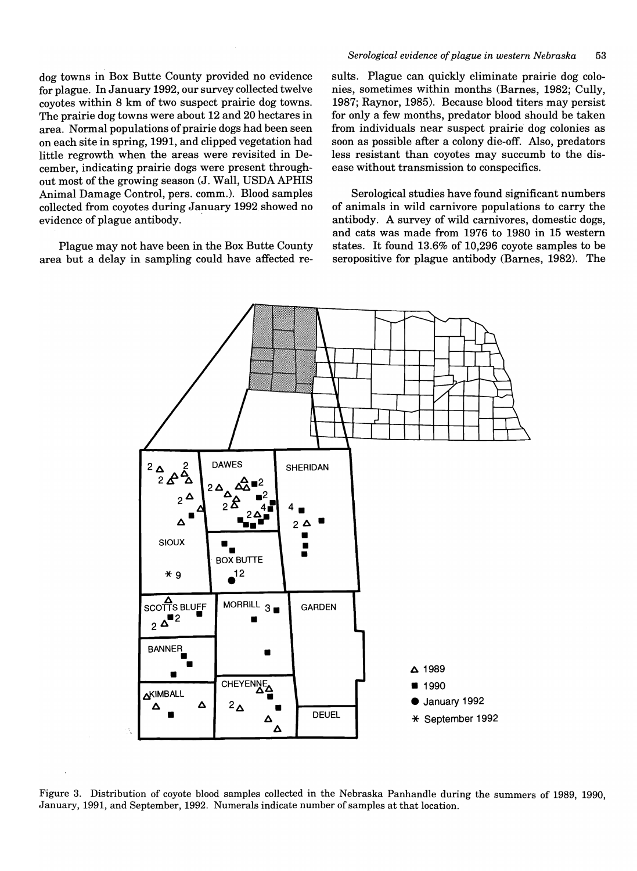dog towns in Box Butte County provided no evidence for plague. In January 1992, our survey collected twelve coyotes within 8 km of two suspect prairie dog towns. The prairie dog towns were about 12 and 20 hectares in area. Normal populations of prairie dogs had been seen on each site in spring, 1991, and clipped vegetation had little regrowth when the areas were revisited in December, indicating prairie dogs were present throughout most of the growing season (J. Wall, USDA APHIS Animal Damage Control, pers. comm.). Blood samples collected from coyotes during January 1992 showed no evidence of plague antibody.

Plague may not have been in the Box Butte County area but a delay in sampling could have affected re-

#### *Serological evidence of plague in western Nebraska 53*

suits. Plague can quickly eliminate prairie dog colonies, sometimes within months (Barnes, 1982; Cully, 1987; Raynor, 1985). Because blood titers may persist for only a few months, predator blood should be taken from individuals near suspect prairie dog colonies as soon as possible after a colony die-off. Also, predators less resistant than coyotes may succumb to the disease without transmission to conspecifics.

Serological studies have found significant numbers of animals in wild carnivore populations to carry the antibody. A survey of wild carnivores, domestic dogs, and cats was made from 1976 to 1980 in 15 western states. It found 13.6% of 10,296 coyote samples to be seropositive for plague antibody (Barnes, 1982). The



Figure 3. Distribution of coyote blood samples collected in the Nebraska Panhandle during the summers of 1989, 1990, January, 1991, and September, 1992. Numerals indicate number of samples at that location.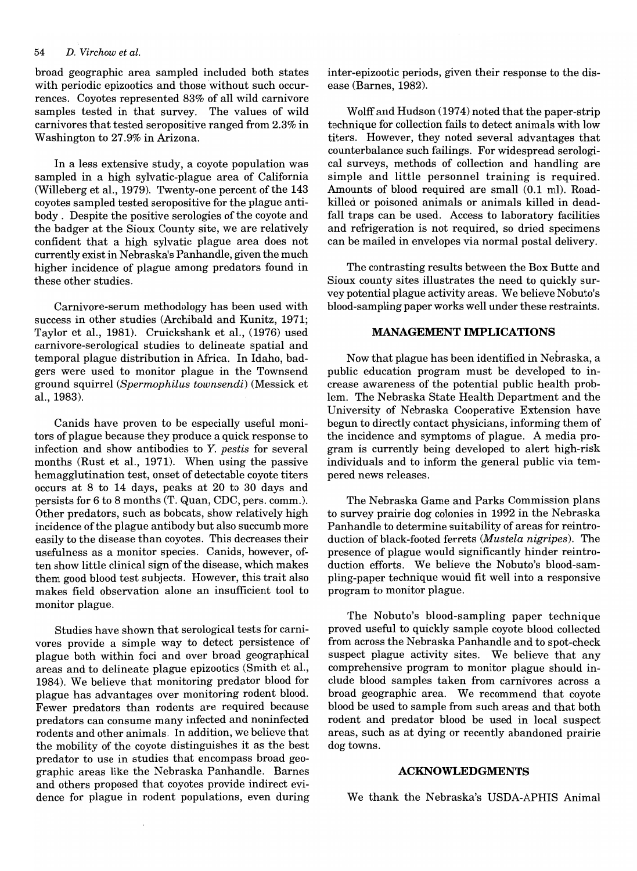#### *54 D. Virchow et al.*

broad geographic area sampled included both states with periodic epizootics and those without such occurrences. Coyotes represented 83% of all wild carnivore samples tested in that survey. The values of wild carnivores that tested seropositive ranged from 2.3% in Washington to 27.9% in Arizona.

In a less extensive study, a coyote population was sampled in a high sylvatic-plague area of California (Willeberg et al., 1979). Twenty-one percent of the 143 coyotes sampled tested seropositive for the plague antibody. Despite the positive serologies of the coyote and the badger at the Sioux County site, we are relatively confident that a high sylvatic plague area does not currently exist in Nebraska's Panhandle, given the much higher incidence of plague among predators found in these other studies.

Carnivore-serum methodology has been used with success in other studies (Archibald and Kunitz, 1971; Taylor et aI., 1981). Cruickshank et aI., (1976) used carnivore-serological studies to delineate spatial and temporal plague distribution in Africa. In Idaho, badgers were used to monitor plague in the Townsend ground squirrel *(Spermophilus townsendi)* (Messick et aI., 1983).

Canids have proven to be especially useful monitors of plague because they produce a quick response to infection and show antibodies to *Y. pestis* for several months (Rust et aI., 1971). When using the passive hemagglutination test, onset of detectable coyote titers occurs at 8 to 14 days, peaks at 20 to 30 days and persists for 6 to 8 months (T. Quan, CDC, pers. comm.). Other predators, such as bobcats, show relatively high incidence of the plague antibody but also succumb more easily to the disease than coyotes. This decreases their usefulness as a monitor species. Canids, however, often show little clinical sign of the disease, which makes them good blood test subjects. However, this trait also makes field observation alone an insufficient tool to monitor plague.

Studies have shown that serological tests for carnivores provide a simple way to detect persistence of plague both within foci and over broad geographical areas and to delineate plague epizootics (Smith et aI., 1984). We believe that monitoring predator blood for plague has advantages over monitoring rodent blood. Fewer predators than rodents are required because predators can consume many infected and noninfected rodents and other animals. In addition, we believe that the mobility of the coyote distinguishes it as the best predator to use in studies that encompass broad geographic areas like the Nebraska Panhandle. Barnes and others proposed that coyotes provide indirect evidence for plague in rodent populations, even during

inter-epizootic periods, given their response to the disease (Barnes, 1982).

Wolff and Hudson (1974) noted that the paper-strip technique for collection fails to detect animals with low titers. However, they noted several advantages that counterbalance such failings. For widespread serological surveys, methods of collection and handling are simple and little personnel training is required. Amounts of blood required are small (0.1 mI). Roadkilled or poisoned animals or animals killed in deadfall traps can be used. Access to laboratory facilities and refrigeration is not required, so dried specimens can be mailed in envelopes via normal postal delivery.

The contrasting results between the Box Butte and Sioux county sites illustrates the need to quickly survey potential plague activity areas. We believe Nobuto's blood-sampling paper works well under these restraints.

#### **MANAGEMENT IMPLICATIONS**

Now that plague has been identified in Nebraska, a public education program must be developed to increase awareness of the potential public health problem. The Nebraska State Health Department and the University of Nebraska Cooperative Extension have begun to directly contact physicians, informing them of the incidence and symptoms of plague. A media program is currently being developed to alert high-risk individuals and to inform the general public via tempered news releases.

The Nebraska Game and Parks Commission plans to survey prairie dog colonies in 1992 in the Nebraska Panhandle to determine suitability of areas for reintroduction of black-footed ferrets *(Mustela nigripes).* The presence of plague would significantly hinder reintroduction efforts. We believe the Nobuto's blood-sampling-paper technique would fit well into a responsive program to monitor plague.

The Nobuto's blood-sampling paper technique proved useful to quickly sample coyote blood collected from across the Nebraska Panhandle and to spot-check suspect plague activity sites. We believe that any comprehensive program to monitor plague should include blood samples taken from carnivores across a broad geographic area. We recommend that coyote blood be used to sample from such areas and that both rodent and predator blood be used in local suspect areas, such as at dying or recently abandoned prairie dog towns.

#### **ACKNOWLEDGMENTS**

We thank the Nebraska's USDA-APHIS Animal